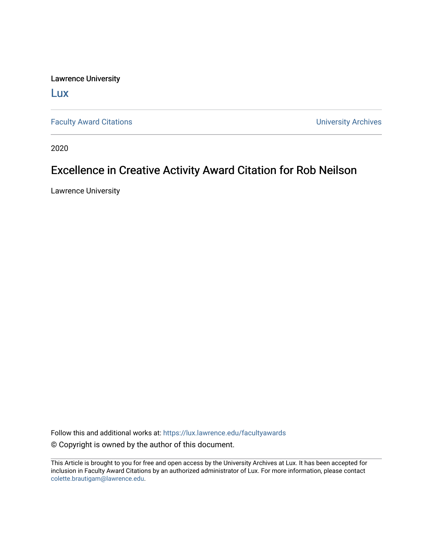Lawrence University

[Lux](https://lux.lawrence.edu/)

[Faculty Award Citations](https://lux.lawrence.edu/facultyawards) **Example 2018** 2019 12:30 Number 2019 12:30 Number 2019 12:30 Number 2019 12:30 Number 2019 12:30 Number 2019 12:30 Number 2019 12:30 Number 2019 12:30 Number 2019 12:30 Number 2019 12:30 Number 201

2020

## Excellence in Creative Activity Award Citation for Rob Neilson

Lawrence University

Follow this and additional works at: [https://lux.lawrence.edu/facultyawards](https://lux.lawrence.edu/facultyawards?utm_source=lux.lawrence.edu%2Ffacultyawards%2F220&utm_medium=PDF&utm_campaign=PDFCoverPages)  © Copyright is owned by the author of this document.

This Article is brought to you for free and open access by the University Archives at Lux. It has been accepted for inclusion in Faculty Award Citations by an authorized administrator of Lux. For more information, please contact [colette.brautigam@lawrence.edu.](mailto:colette.brautigam@lawrence.edu)